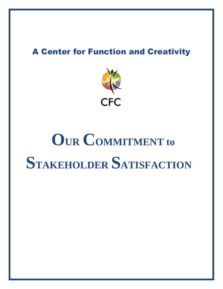#### **A Center for Function and Creativity**



# **OUR COMMITMENT to STAKEHOLDER SATISFACTION**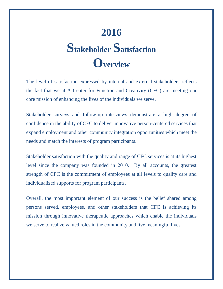# **2016 Stakeholder Satisfaction Overview**

The level of satisfaction expressed by internal and external stakeholders reflects the fact that we at A Center for Function and Creativity (CFC) are meeting our core mission of enhancing the lives of the individuals we serve.

Stakeholder surveys and follow-up interviews demonstrate a high degree of confidence in the ability of CFC to deliver innovative person-centered services that expand employment and other community integration opportunities which meet the needs and match the interests of program participants.

Stakeholder satisfaction with the quality and range of CFC services is at its highest level since the company was founded in 2010. By all accounts, the greatest strength of CFC is the commitment of employees at all levels to quality care and individualized supports for program participants.

Overall, the most important element of our success is the belief shared among persons served, employees, and other stakeholders that CFC is achieving its mission through innovative therapeutic approaches which enable the individuals we serve to realize valued roles in the community and live meaningful lives.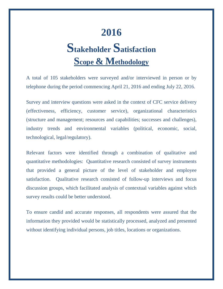#### **2016**

# **Stakeholder Satisfaction Scope & Methodology**

A total of 105 stakeholders were surveyed and/or interviewed in person or by telephone during the period commencing April 21, 2016 and ending July 22, 2016.

Survey and interview questions were asked in the context of CFC service delivery (effectiveness, efficiency, customer service), organizational characteristics (structure and management; resources and capabilities; successes and challenges), industry trends and environmental variables (political, economic, social, technological, legal/regulatory).

Relevant factors were identified through a combination of qualitative and quantitative methodologies: Quantitative research consisted of survey instruments that provided a general picture of the level of stakeholder and employee satisfaction. Qualitative research consisted of follow-up interviews and focus discussion groups, which facilitated analysis of contextual variables against which survey results could be better understood.

To ensure candid and accurate responses, all respondents were assured that the information they provided would be statistically processed, analyzed and presented without identifying individual persons, job titles, locations or organizations.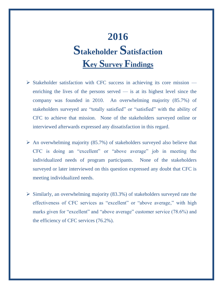### **2016 Stakeholder Satisfaction Key Survey Findings**

- $\triangleright$  Stakeholder satisfaction with CFC success in achieving its core mission enriching the lives of the persons served  $\frac{1}{x}$  is at its highest level since the company was founded in 2010. An overwhelming majority (85.7%) of stakeholders surveyed are "totally satisfied" or "satisfied" with the ability of CFC to achieve that mission. None of the stakeholders surveyed online or interviewed afterwards expressed any dissatisfaction in this regard.
- $\triangleright$  An overwhelming majority (85.7%) of stakeholders surveyed also believe that CFC is doing an "excellent" or "above average" job in meeting the individualized needs of program participants. None of the stakeholders surveyed or later interviewed on this question expressed any doubt that CFC is meeting individualized needs.
- $\triangleright$  Similarly, an overwhelming majority (83.3%) of stakeholders surveyed rate the effectiveness of CFC services as "excellent" or "above average," with high marks given for "excellent" and "above average" customer service (78.6%) and the efficiency of CFC services (76.2%).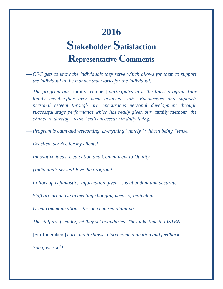## **2016 Stakeholder Satisfaction Representative Comments**

- *CFC gets to know the individuals they serve which allows for them to support the individual in the manner that works for the individual.*
- *The program our* [family member] *participates in is the finest program [our family member]has ever been involved with….Encourages and supports personal esteem through art, encourages personal development through successful stage performance which has really given our* [family member] *the chance to develop "team" skills necessary in daily living.*
- *Program is calm and welcoming. Everything "timely" without being "tense."*
- *Excellent service for my clients!*
- *Innovative ideas. Dedication and Commitment to Quality*
- *[Individuals served] love the program!*
- *Follow up is fantastic. Information given … is abundant and accurate.*
- *Staff are proactive in meeting changing needs of individuals.*
- *Great communication. Person centered planning.*
- *The staff are friendly, yet they set boundaries. They take time to LISTEN …*
- [Staff members] *care and it shows. Good communication and feedback.*
- *You guys rock!*